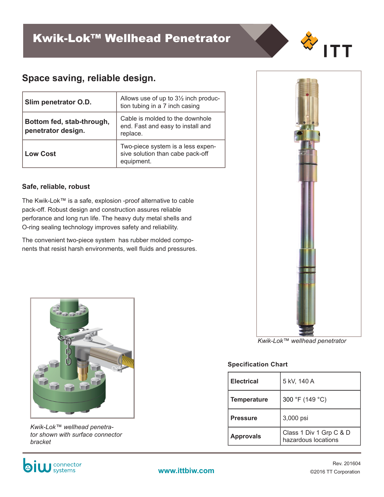# **Space saving, reliable design.**

| Slim penetrator O.D.                            | Allows use of up to $3\frac{1}{2}$ inch produc-<br>tion tubing in a 7 inch casing   |
|-------------------------------------------------|-------------------------------------------------------------------------------------|
| Bottom fed, stab-through,<br>penetrator design. | Cable is molded to the downhole<br>end. Fast and easy to install and<br>replace.    |
| <b>Low Cost</b>                                 | Two-piece system is a less expen-<br>sive solution than cabe pack-off<br>equipment. |

### **Safe, reliable, robust**

The Kwik-Lok™ is a safe, explosion -proof alternative to cable pack-off. Robust design and construction assures reliable perforance and long run life. The heavy duty metal shells and O-ring sealing technology improves safety and reliability.

The convenient two-piece system has rubber molded components that resist harsh environments, well fluids and pressures.





*Kwik-Lok™ wellhead penetrator shown with surface connector bracket*

**bi** W connector

*Kwik-Lok™ wellhead penetrator*

#### **Specification Chart**

| <b>Electrical</b>  | 5 kV, 140 A                                    |  |
|--------------------|------------------------------------------------|--|
| <b>Temperature</b> | 300 °F (149 °C)                                |  |
| <b>Pressure</b>    | 3,000 psi                                      |  |
| <b>Approvals</b>   | Class 1 Div 1 Grp C & D<br>hazardous locations |  |